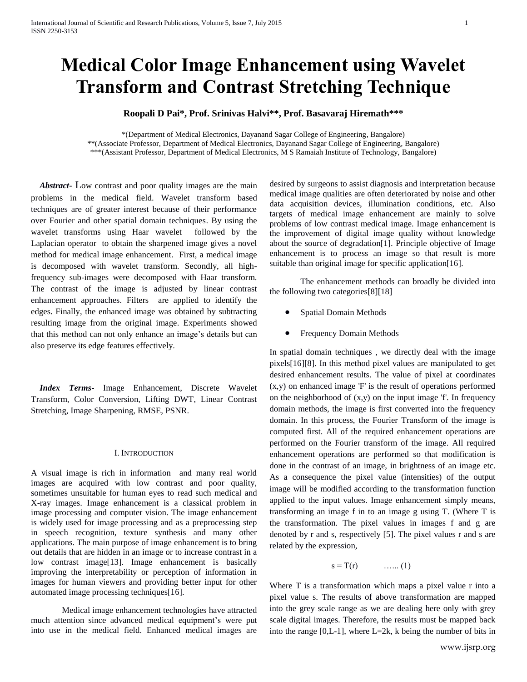# **Medical Color Image Enhancement using Wavelet Transform and Contrast Stretching Technique**

# **Roopali D Pai\*, Prof. Srinivas Halvi\*\*, Prof. Basavaraj Hiremath\*\*\***

\*(Department of Medical Electronics, Dayanand Sagar College of Engineering, Bangalore) \*\*(Associate Professor, Department of Medical Electronics, Dayanand Sagar College of Engineering, Bangalore) \*\*\*(Assistant Professor, Department of Medical Electronics, M S Ramaiah Institute of Technology, Bangalore)

 *Abstract***-** Low contrast and poor quality images are the main problems in the medical field. Wavelet transform based techniques are of greater interest because of their performance over Fourier and other spatial domain techniques. By using the wavelet transforms using Haar wavelet followed by the Laplacian operator to obtain the sharpened image gives a novel method for medical image enhancement. First, a medical image is decomposed with wavelet transform. Secondly, all highfrequency sub-images were decomposed with Haar transform. The contrast of the image is adjusted by linear contrast enhancement approaches. Filters are applied to identify the edges. Finally, the enhanced image was obtained by subtracting resulting image from the original image. Experiments showed that this method can not only enhance an image's details but can also preserve its edge features effectively.

 *Index Terms*- Image Enhancement, Discrete Wavelet Transform, Color Conversion, Lifting DWT, Linear Contrast Stretching, Image Sharpening, RMSE, PSNR.

## I. INTRODUCTION

A visual image is rich in information and many real world images are acquired with low contrast and poor quality, sometimes unsuitable for human eyes to read such medical and X-ray images. Image enhancement is a classical problem in image processing and computer vision. The image enhancement is widely used for image processing and as a preprocessing step in speech recognition, texture synthesis and many other applications. The main purpose of image enhancement is to bring out details that are hidden in an image or to increase contrast in a low contrast image[13]. Image enhancement is basically improving the interpretability or perception of information in images for human viewers and providing better input for other automated image processing techniques[16].

Medical image enhancement technologies have attracted much attention since advanced medical equipment's were put into use in the medical field. Enhanced medical images are desired by surgeons to assist diagnosis and interpretation because medical image qualities are often deteriorated by noise and other data acquisition devices, illumination conditions, etc. Also targets of medical image enhancement are mainly to solve problems of low contrast medical image. Image enhancement is the improvement of digital image quality without knowledge about the source of degradation[1]. Principle objective of Image enhancement is to process an image so that result is more suitable than original image for specific application [16].

The enhancement methods can broadly be divided into the following two categories[8][18]

- Spatial Domain Methods
- Frequency Domain Methods

In spatial domain techniques , we directly deal with the image pixels[16][8]. In this method pixel values are manipulated to get desired enhancement results. The value of pixel at coordinates (x,y) on enhanced image 'F' is the result of operations performed on the neighborhood of (x,y) on the input image 'f'. In frequency domain methods, the image is first converted into the frequency domain. In this process, the Fourier Transform of the image is computed first. All of the required enhancement operations are performed on the Fourier transform of the image. All required enhancement operations are performed so that modification is done in the contrast of an image, in brightness of an image etc. As a consequence the pixel value (intensities) of the output image will be modified according to the transformation function applied to the input values. Image enhancement simply means, transforming an image f in to an image g using T. (Where T is the transformation. The pixel values in images f and g are denoted by r and s, respectively [5]. The pixel values r and s are related by the expression,

$$
s = T(r) \qquad \qquad \ldots \ldots (1)
$$

Where T is a transformation which maps a pixel value r into a pixel value s. The results of above transformation are mapped into the grey scale range as we are dealing here only with grey scale digital images. Therefore, the results must be mapped back into the range  $[0,L-1]$ , where  $L=2k$ , k being the number of bits in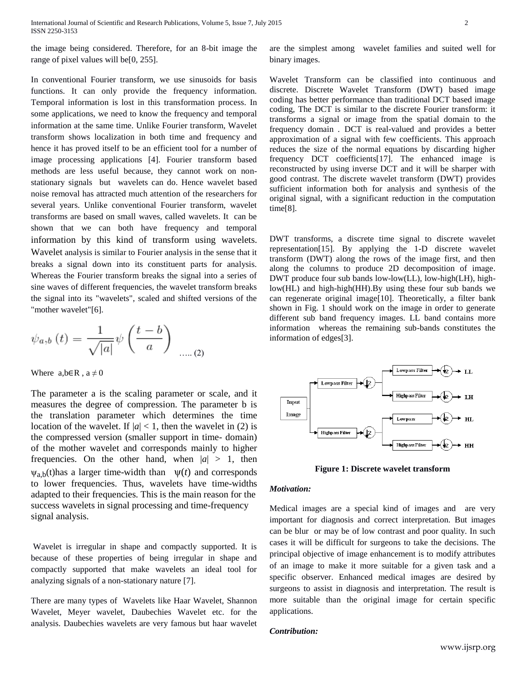the image being considered. Therefore, for an 8-bit image the range of pixel values will be[0, 255].

In conventional Fourier transform, we use sinusoids for basis functions. It can only provide the frequency information. Temporal information is lost in this transformation process. In some applications, we need to know the frequency and temporal information at the same time. Unlike Fourier transform, Wavelet transform shows localization in both time and frequency and hence it has proved itself to be an efficient tool for a number of image processing applications [4]. Fourier transform based methods are less useful because, they cannot work on nonstationary signals but wavelets can do. Hence wavelet based noise removal has attracted much attention of the researchers for several years. Unlike conventional Fourier transform, wavelet transforms are based on small waves, called wavelets. It can be shown that we can both have frequency and temporal information by this kind of transform using wavelets. Wavelet analysis is similar to Fourier analysis in the sense that it breaks a signal down into its constituent parts for analysis. Whereas the Fourier transform breaks the signal into a series of sine waves of different frequencies, the wavelet transform breaks the signal into its "wavelets", scaled and shifted versions of the "mother wavelet"[6].

$$
\psi_{a,b}(t) = \frac{1}{\sqrt{|a|}} \psi\left(\frac{t-b}{a}\right) \dots (2)
$$

Where  $a,b \in \mathbb{R}$ ,  $a \neq 0$ 

The parameter a is the scaling parameter or scale, and it measures the degree of compression. The parameter b is the translation parameter which determines the time location of the wavelet. If  $|a| < 1$ , then the wavelet in (2) is the compressed version (smaller support in time- domain) of the mother wavelet and corresponds mainly to higher frequencies. On the other hand, when  $|a| > 1$ , then  $\psi_{a,b}(t)$ has a larger time-width than  $\psi(t)$  and corresponds to lower frequencies. Thus, wavelets have time-widths adapted to their frequencies. This is the main reason for the success wavelets in signal processing and time-frequency signal analysis.

Wavelet is irregular in shape and compactly supported. It is because of these properties of being irregular in shape and compactly supported that make wavelets an ideal tool for analyzing signals of a non-stationary nature [7].

There are many types of Wavelets like Haar Wavelet, Shannon Wavelet, Meyer wavelet, Daubechies Wavelet etc. for the analysis. Daubechies wavelets are very famous but haar wavelet are the simplest among wavelet families and suited well for binary images.

Wavelet Transform can be classified into continuous and discrete. Discrete Wavelet Transform (DWT) based image coding has better performance than traditional DCT based image coding, The DCT is similar to the discrete Fourier transform: it transforms a signal or image from the spatial domain to the frequency domain . DCT is real-valued and provides a better approximation of a signal with few coefficients. This approach reduces the size of the normal equations by discarding higher frequency DCT coefficients[17]. The enhanced image is reconstructed by using inverse DCT and it will be sharper with good contrast. The discrete wavelet transform (DWT) provides sufficient information both for analysis and synthesis of the original signal, with a significant reduction in the computation time<sup>[8]</sup>.

DWT transforms, a discrete time signal to discrete wavelet representation[15]. By applying the 1-D discrete wavelet transform (DWT) along the rows of the image first, and then along the columns to produce 2D decomposition of image. DWT produce four sub bands low-low(LL), low-high(LH), highlow(HL) and high-high(HH).By using these four sub bands we can regenerate original image[10]. Theoretically, a filter bank shown in Fig. 1 should work on the image in order to generate different sub band frequency images. LL band contains more information whereas the remaining sub-bands constitutes the information of edges[3].



**Figure 1: Discrete wavelet transform**

#### *Motivation:*

Medical images are a special kind of images and are very important for diagnosis and correct interpretation. But images can be blur or may be of low contrast and poor quality. In such cases it will be difficult for surgeons to take the decisions. The principal objective of image enhancement is to modify attributes of an image to make it more suitable for a given task and a specific observer. Enhanced medical images are desired by surgeons to assist in diagnosis and interpretation. The result is more suitable than the original image for certain specific applications.

#### *Contribution:*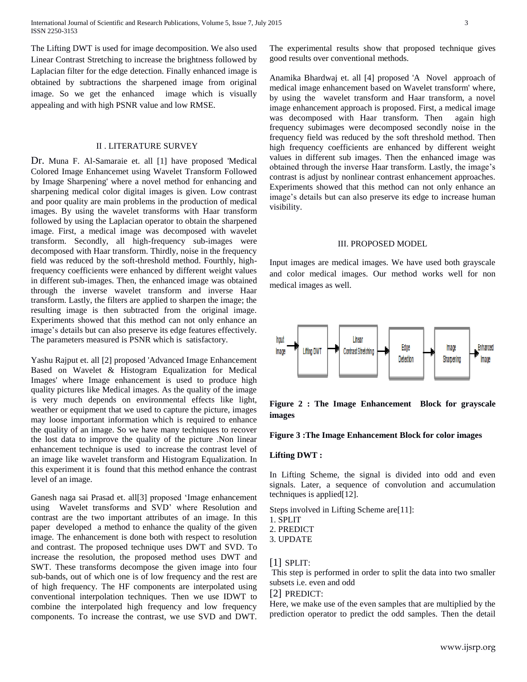The Lifting DWT is used for image decomposition. We also used Linear Contrast Stretching to increase the brightness followed by Laplacian filter for the edge detection. Finally enhanced image is obtained by subtractions the sharpened image from original image. So we get the enhanced image which is visually appealing and with high PSNR value and low RMSE.

#### II . LITERATURE SURVEY

Dr. Muna F. Al-Samaraie et. all [1] have proposed 'Medical Colored Image Enhancemet using Wavelet Transform Followed by Image Sharpening' where a novel method for enhancing and sharpening medical color digital images is given. Low contrast and poor quality are main problems in the production of medical images. By using the wavelet transforms with Haar transform followed by using the Laplacian operator to obtain the sharpened image. First, a medical image was decomposed with wavelet transform. Secondly, all high-frequency sub-images were decomposed with Haar transform. Thirdly, noise in the frequency field was reduced by the soft-threshold method. Fourthly, highfrequency coefficients were enhanced by different weight values in different sub-images. Then, the enhanced image was obtained through the inverse wavelet transform and inverse Haar transform. Lastly, the filters are applied to sharpen the image; the resulting image is then subtracted from the original image. Experiments showed that this method can not only enhance an image's details but can also preserve its edge features effectively. The parameters measured is PSNR which is satisfactory.

Yashu Rajput et. all [2] proposed 'Advanced Image Enhancement Based on Wavelet & Histogram Equalization for Medical Images' where Image enhancement is used to produce high quality pictures like Medical images. As the quality of the image is very much depends on environmental effects like light, weather or equipment that we used to capture the picture, images may loose important information which is required to enhance the quality of an image. So we have many techniques to recover the lost data to improve the quality of the picture .Non linear enhancement technique is used to increase the contrast level of an image like wavelet transform and Histogram Equalization. In this experiment it is found that this method enhance the contrast level of an image.

Ganesh naga sai Prasad et. all[3] proposed 'Image enhancement using Wavelet transforms and SVD' where Resolution and contrast are the two important attributes of an image. In this paper developed a method to enhance the quality of the given image. The enhancement is done both with respect to resolution and contrast. The proposed technique uses DWT and SVD. To increase the resolution, the proposed method uses DWT and SWT. These transforms decompose the given image into four sub-bands, out of which one is of low frequency and the rest are of high frequency. The HF components are interpolated using conventional interpolation techniques. Then we use IDWT to combine the interpolated high frequency and low frequency components. To increase the contrast, we use SVD and DWT. The experimental results show that proposed technique gives good results over conventional methods.

Anamika Bhardwaj et. all [4] proposed 'A Novel approach of medical image enhancement based on Wavelet transform' where, by using the wavelet transform and Haar transform, a novel image enhancement approach is proposed. First, a medical image was decomposed with Haar transform. Then again high frequency subimages were decomposed secondly noise in the frequency field was reduced by the soft threshold method. Then high frequency coefficients are enhanced by different weight values in different sub images. Then the enhanced image was obtained through the inverse Haar transform. Lastly, the image's contrast is adjust by nonlinear contrast enhancement approaches. Experiments showed that this method can not only enhance an image's details but can also preserve its edge to increase human visibility.

#### III. PROPOSED MODEL

Input images are medical images. We have used both grayscale and color medical images. Our method works well for non medical images as well.



**Figure 2 : The Image Enhancement Block for grayscale images**

## **Figure 3 :The Image Enhancement Block for color images**

## **Lifting DWT :**

In Lifting Scheme, the signal is divided into odd and even signals. Later, a sequence of convolution and accumulation techniques is applied[12].

Steps involved in Lifting Scheme are[11]:

- 1. SPLIT
- 2. PREDICT
- 3. UPDATE

## [1] SPLIT:

This step is performed in order to split the data into two smaller subsets i.e. even and odd

## [2] PREDICT:

Here, we make use of the even samples that are multiplied by the prediction operator to predict the odd samples. Then the detail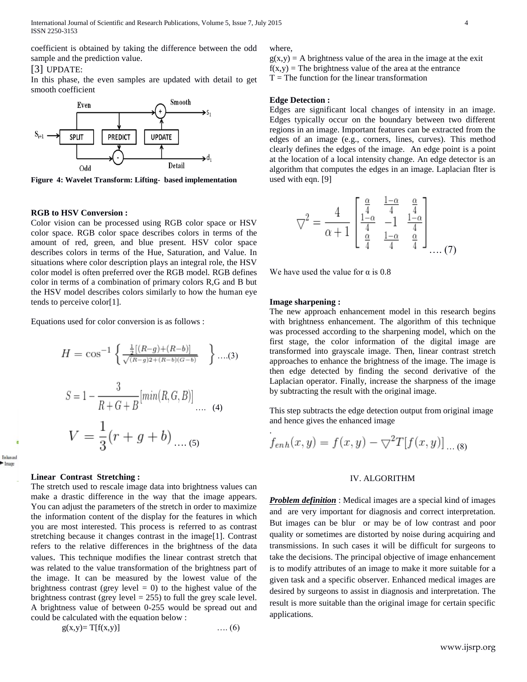coefficient is obtained by taking the difference between the odd sample and the prediction value.

#### [3] UPDATE:

In this phase, the even samples are updated with detail to get smooth coefficient



**Figure 4: Wavelet Transform: Lifting- based implementation**

## **RGB to HSV Conversion :**

Color vision can be processed using RGB color space or HSV color space. RGB color space describes colors in terms of the amount of red, green, and blue present. HSV color space describes colors in terms of the Hue, Saturation, and Value. In situations where color description plays an integral role, the HSV color model is often preferred over the RGB model. RGB defines color in terms of a combination of primary colors R,G and B but the HSV model describes colors similarly to how the human eye tends to perceive color[1].

Equations used for color conversion is as follows :

$$
H = \cos^{-1}\left\{\frac{\frac{1}{2}[(R-g)+(R-b)]}{\sqrt{(R-g)2+(R-b)(G-b)}}\right\} \dots (3)
$$
  

$$
S = 1 - \frac{3}{R+G+B}[\min(R, G, B)] \dots (4)
$$
  

$$
V = \frac{1}{3}(r+g+b) \dots (5)
$$

#### **Linear Contrast Stretching :**

Enhanced Image

> The stretch used to rescale image data into brightness values can make a drastic difference in the way that the image appears. You can adjust the parameters of the stretch in order to maximize the information content of the display for the features in which you are most interested. This process is referred to as contrast stretching because it changes contrast in the image[1]. Contrast refers to the relative differences in the brightness of the data values. This technique modifies the linear contrast stretch that was related to the value transformation of the brightness part of the image. It can be measured by the lowest value of the brightness contrast (grey level  $= 0$ ) to the highest value of the brightness contrast (grey level  $= 255$ ) to full the grey scale level. A brightness value of between 0-255 would be spread out and could be calculated with the equation below :

$$
g(x,y)=T[f(x,y)] \qquad \qquad \ldots (6)
$$

## where,

 $g(x,y) = A$  brightness value of the area in the image at the exit  $f(x,y)$  = The brightness value of the area at the entrance  $T =$ The function for the linear transformation

## **Edge Detection :**

Edges are significant local changes of intensity in an image. Edges typically occur on the boundary between two different regions in an image. Important features can be extracted from the edges of an image (e.g., corners, lines, curves). This method clearly defines the edges of the image. An edge point is a point at the location of a local intensity change. An edge detector is an algorithm that computes the edges in an image. Laplacian flter is used with eqn. [9]

$$
\nabla^{2} = \frac{4}{\alpha + 1} \begin{bmatrix} \frac{\alpha}{4} & \frac{1 - \alpha}{4} & \frac{\alpha}{4} \\ \frac{1 - \alpha}{4} & -1 & \frac{1 - \alpha}{4} \\ \frac{\alpha}{4} & \frac{1 - \alpha}{4} & \frac{\alpha}{4} \end{bmatrix} \dots (7)
$$

We have used the value for  $\alpha$  is 0.8

#### **Image sharpening :**

The new approach enhancement model in this research begins with brightness enhancement. The algorithm of this technique was processed according to the sharpening model, which on the first stage, the color information of the digital image are transformed into grayscale image. Then, linear contrast stretch approaches to enhance the brightness of the image. The image is then edge detected by finding the second derivative of the Laplacian operator. Finally, increase the sharpness of the image by subtracting the result with the original image.

This step subtracts the edge detection output from original image and hence gives the enhanced image

$$
f_{enh}(x, y) = f(x, y) - \nabla^2 T[f(x, y)] \dots (8)
$$

## IV. ALGORITHM

*Problem definition* : Medical images are a special kind of images and are very important for diagnosis and correct interpretation. But images can be blur or may be of low contrast and poor quality or sometimes are distorted by noise during acquiring and transmissions. In such cases it will be difficult for surgeons to take the decisions. The principal objective of image enhancement is to modify attributes of an image to make it more suitable for a given task and a specific observer. Enhanced medical images are desired by surgeons to assist in diagnosis and interpretation. The result is more suitable than the original image for certain specific applications.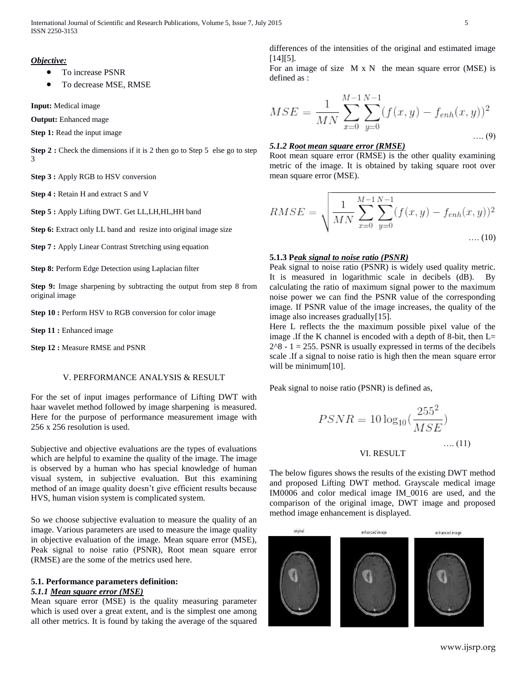#### *Objective:*

- To increase PSNR
- To decrease MSE, RMSE

**Input:** Medical image

**Output:** Enhanced mage

**Step 1:** Read the input image

**Step 2 :** Check the dimensions if it is 2 then go to Step 5 else go to step 3

**Step 3 :** Apply RGB to HSV conversion

**Step 4 :** Retain H and extract S and V

**Step 5 :** Apply Lifting DWT. Get LL,LH,HL,HH band

**Step 6:** Extract only LL band and resize into original image size

**Step 7 :** Apply Linear Contrast Stretching using equation

**Step 8: Perform Edge Detection using Laplacian filter** 

**Step 9:** Image sharpening by subtracting the output from step 8 from original image

**Step 10 :** Perform HSV to RGB conversion for color image

**Step 11 :** Enhanced image

**Step 12 :** Measure RMSE and PSNR

#### V. PERFORMANCE ANALYSIS & RESULT

For the set of input images performance of Lifting DWT with haar wavelet method followed by image sharpening is measured. Here for the purpose of performance measurement image with 256 x 256 resolution is used.

Subjective and objective evaluations are the types of evaluations which are helpful to examine the quality of the image. The image is observed by a human who has special knowledge of human visual system, in subjective evaluation. But this examining method of an image quality doesn't give efficient results because HVS, human vision system is complicated system.

So we choose subjective evaluation to measure the quality of an image. Various parameters are used to measure the image quality in objective evaluation of the image. Mean square error (MSE), Peak signal to noise ratio (PSNR), Root mean square error (RMSE) are the some of the metrics used here.

## **5.1. Performance parameters definition:**

# *5.1.1 Mean square error (MSE)*

Mean square error (MSE) is the quality measuring parameter which is used over a great extent, and is the simplest one among all other metrics. It is found by taking the average of the squared differences of the intensities of the original and estimated image  $[14][5]$ .

For an image of size  $M \times N$  the mean square error (MSE) is defined as :

$$
MSE = \frac{1}{MN} \sum_{x=0}^{M-1} \sum_{y=0}^{N-1} (f(x, y) - f_{enh}(x, y))^2
$$
...(9)

## *5.1.2 Root mean square error (RMSE)*

Root mean square error (RMSE) is the other quality examining metric of the image. It is obtained by taking square root over mean square error (MSE).

$$
RMSE = \sqrt{\frac{1}{MN} \sum_{x=0}^{M-1} \sum_{y=0}^{N-1} (f(x, y) - f_{enh}(x, y))^2 \dots (10)}
$$

## **5.1.3 P***eak signal to noise ratio (PSNR)*

Peak signal to noise ratio (PSNR) is widely used quality metric. It is measured in logarithmic scale in decibels (dB). By calculating the ratio of maximum signal power to the maximum noise power we can find the PSNR value of the corresponding image. If PSNR value of the image increases, the quality of the image also increases gradually[15].

Here L reflects the the maximum possible pixel value of the image .If the K channel is encoded with a depth of 8-bit, then L=  $2^8 - 1 = 255$ . PSNR is usually expressed in terms of the decibels scale .If a signal to noise ratio is high then the mean square error will be minimum[10].

Peak signal to noise ratio (PSNR) is defined as,

$$
PSNR = 10 \log_{10} \left( \frac{255^2}{MSE} \right)
$$
  
VI. RESULT  
VI.

The below figures shows the results of the existing DWT method and proposed Lifting DWT method. Grayscale medical image IM0006 and color medical image IM\_0016 are used, and the comparison of the original image, DWT image and proposed method image enhancement is displayed.

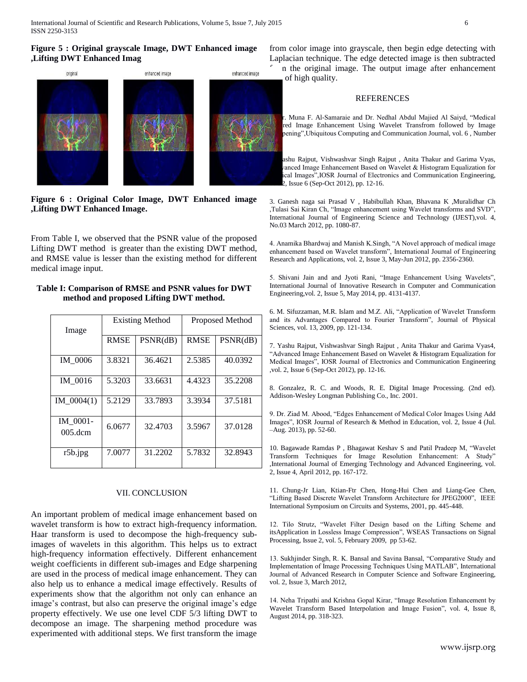#### **Figure 5 : Original grayscale Image, DWT Enhanced image ,Lifting DWT Enhanced Imag**



**Figure 6 : Original Color Image, DWT Enhanced image ,Lifting DWT Enhanced Image.**

From Table I, we observed that the PSNR value of the proposed Lifting DWT method is greater than the existing DWT method, and RMSE value is lesser than the existing method for different medical image input.

## **Table I: Comparison of RMSE and PSNR values for DWT method and proposed Lifting DWT method.**

| Image                        | <b>Existing Method</b> |          | Proposed Method |          |
|------------------------------|------------------------|----------|-----------------|----------|
|                              | <b>RMSE</b>            | PSNR(dB) | <b>RMSE</b>     | PSNR(dB) |
| IM 0006                      | 3.8321                 | 36.4621  | 2.5385          | 40.0392  |
| IM 0016                      | 5.3203                 | 33.6631  | 4.4323          | 35.2208  |
| IM $0004(1)$                 | 5.2129                 | 33.7893  | 3.3934          | 37.5181  |
| IM 0001-<br>$005 \text{dcm}$ | 6.0677                 | 32.4703  | 3.5967          | 37.0128  |
| r5b.jpg                      | 7.0077                 | 31.2202  | 5.7832          | 32.8943  |

### VII. CONCLUSION

An important problem of medical image enhancement based on wavelet transform is how to extract high-frequency information. Haar transform is used to decompose the high-frequency subimages of wavelets in this algorithm. This helps us to extract high-frequency information effectively. Different enhancement weight coefficients in different sub-images and Edge sharpening are used in the process of medical image enhancement. They can also help us to enhance a medical image effectively. Results of experiments show that the algorithm not only can enhance an image's contrast, but also can preserve the original image's edge property effectively. We use one level CDF 5/3 lifting DWT to decompose an image. The sharpening method procedure was experimented with additional steps. We first transform the image

from color image into grayscale, then begin edge detecting with Laplacian technique. The edge detected image is then subtracted

in the original image. The output image after enhancement of high quality.

## **REFERENCES**

r. Muna F. Al-Samaraie and Dr. Nedhal Abdul Majied Al Saiyd, "Medical red Image Enhancement Using Wavelet Transfrom followed by Image pening", Ubiquitous Computing and Communication Journal, vol. 6, Number

ashu Rajput, Vishwashvar Singh Rajput, Anita Thakur and Garima Vyas, vanced Image Enhancement Based on Wavelet & Histogram Equalization for ical Images", IOSR Journal of Electronics and Communication Engineering, 2, Issue 6 (Sep-Oct 2012), pp. 12-16.

3. Ganesh naga sai Prasad V , Habibullah Khan, Bhavana K ,Muralidhar Ch ,Tulasi Sai Kiran Ch, "Image enhancement using Wavelet transforms and SVD", International Journal of Engineering Science and Technology (IJEST),vol. 4, No.03 March 2012, pp. 1080-87.

4. Anamika Bhardwaj and Manish K.Singh, "A Novel approach of medical image enhancement based on Wavelet transform", International Journal of Engineering Research and Applications, vol. 2, Issue 3, May-Jun 2012, pp. 2356-2360.

5. Shivani Jain and and Jyoti Rani, "Image Enhancement Using Wavelets", International Journal of Innovative Research in Computer and Communication Engineering,vol. 2, Issue 5, May 2014, pp. 4131-4137.

6. M. Sifuzzaman, M.R. Islam and M.Z. Ali, "Application of Wavelet Transform and its Advantages Compared to Fourier Transform", Journal of Physical Sciences, vol. 13, 2009, pp. 121-134.

7. Yashu Rajput, Vishwashvar Singh Rajput , Anita Thakur and Garima Vyas4, "Advanced Image Enhancement Based on Wavelet & Histogram Equalization for Medical Images", IOSR Journal of Electronics and Communication Engineering ,vol. 2, Issue 6 (Sep-Oct 2012), pp. 12-16.

8. Gonzalez, R. C. and Woods, R. E. Digital Image Processing. (2nd ed). Addison-Wesley Longman Publishing Co., Inc. 2001.

9. Dr. Ziad M. Abood, "Edges Enhancement of Medical Color Images Using Add Images", IOSR Journal of Research & Method in Education, vol. 2, Issue 4 (Jul. –Aug. 2013), pp. 52-60.

10. Bagawade Ramdas P , Bhagawat Keshav S and Patil Pradeep M, "Wavelet Transform Techniques for Image Resolution Enhancement: A Study" ,International Journal of Emerging Technology and Advanced Engineering, vol. 2, Issue 4, April 2012, pp. 167-172.

11. Chung-Jr Lian, Ktian-Ftr Chen, Hong-Hui Chen and Liang-Gee Chen, "Lifting Based Discrete Wavelet Transform Architecture for JPEG2000", IEEE International Symposium on Circuits and Systems, 2001, pp. 445-448.

12. Tilo Strutz, "Wavelet Filter Design based on the Lifting Scheme and itsApplication in Lossless Image Compression", WSEAS Transactions on Signal Processing, Issue 2, vol. 5, February 2009, pp 53-62.

13. Sukhjinder Singh, R. K. Bansal and Savina Bansal, "Comparative Study and Implementation of Image Processing Techniques Using MATLAB", International Journal of Advanced Research in Computer Science and Software Engineering, vol. 2, Issue 3, March 2012,

14. Neha Tripathi and Krishna Gopal Kirar, "Image Resolution Enhancement by Wavelet Transform Based Interpolation and Image Fusion", vol. 4, Issue 8, August 2014, pp. 318-323.